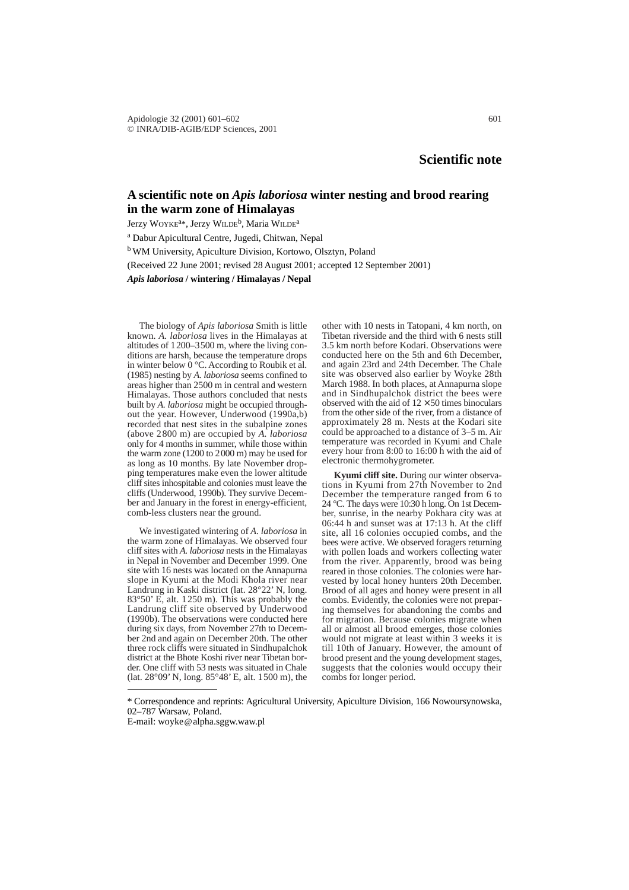# **A scientific note on** *Apis laboriosa* **winter nesting and brood rearing in the warm zone of Himalayas**

Jerzy WOYKE<sup>a\*</sup>, Jerzy WILDE<sup>b</sup>, Maria WILDE<sup>a</sup>

<sup>a</sup> Dabur Apicultural Centre, Jugedi, Chitwan, Nepal b WM University, Apiculture Division, Kortowo, Olsztyn, Poland (Received 22 June 2001; revised 28 August 2001; accepted 12 September 2001)

*Apis laboriosa* **/ wintering / Himalayas / Nepal**

The biology of *Apis laboriosa* Smith is little known. *A. laboriosa* lives in the Himalayas at altitudes of 1200–3500 m, where the living conditions are harsh, because the temperature drops in winter below  $0^{\circ}$ C. According to Roubik et al. (1985) nesting by *A. laboriosa* seems confined to areas higher than 2500 m in central and western Himalayas. Those authors concluded that nests built by *A. laboriosa* might be occupied throughout the year. However, Underwood (1990a,b) recorded that nest sites in the subalpine zones (above 2800 m) are occupied by *A. laboriosa* only for 4 months in summer, while those within the warm zone (1200 to 2000 m) may be used for as long as 10 months. By late November dropping temperatures make even the lower altitude cliff sites inhospitable and colonies must leave the cliffs (Underwood, 1990b). They survive December and January in the forest in energy-efficient, comb-less clusters near the ground.

We investigated wintering of *A. laboriosa* in the warm zone of Himalayas. We observed four cliff sites with *A. laboriosa* nests in the Himalayas in Nepal in November and December 1999. One site with 16 nests was located on the Annapurna slope in Kyumi at the Modi Khola river near Landrung in Kaski district (lat. 28°22' N, long. 83°50' E, alt. 1250 m). This was probably the Landrung cliff site observed by Underwood (1990b). The observations were conducted here during six days, from November 27th to December 2nd and again on December 20th. The other three rock cliffs were situated in Sindhupalchok district at the Bhote Koshi river near Tibetan border. One cliff with 53 nests was situated in Chale (lat. 28°09' N, long. 85°48' E, alt. 1500 m), the other with 10 nests in Tatopani, 4 km north, on Tibetan riverside and the third with 6 nests still 3.5 km north before Kodari. Observations were conducted here on the 5th and 6th December, and again 23rd and 24th December. The Chale site was observed also earlier by Woyke 28th March 1988. In both places, at Annapurna slope and in Sindhupalchok district the bees were observed with the aid of  $12 \times 50$  times binoculars from the other side of the river, from a distance of approximately 28 m. Nests at the Kodari site could be approached to a distance of 3–5 m. Air temperature was recorded in Kyumi and Chale every hour from 8:00 to 16:00 h with the aid of electronic thermohygrometer.

**Kyumi cliff site.** During our winter observations in Kyumi from 27th November to 2nd December the temperature ranged from 6 to 24 °C. The days were 10:30 h long. On 1st December, sunrise, in the nearby Pokhara city was at 06:44 h and sunset was at 17:13 h. At the cliff site, all 16 colonies occupied combs, and the bees were active. We observed foragers returning with pollen loads and workers collecting water from the river. Apparently, brood was being reared in those colonies. The colonies were harvested by local honey hunters 20th December. Brood of all ages and honey were present in all combs. Evidently, the colonies were not preparing themselves for abandoning the combs and for migration. Because colonies migrate when all or almost all brood emerges, those colonies would not migrate at least within 3 weeks it is till 10th of January. However, the amount of brood present and the young development stages, suggests that the colonies would occupy their combs for longer period.

<sup>\*</sup> Correspondence and reprints: Agricultural University, Apiculture Division, 166 Nowoursynowska, 02–787 Warsaw, Poland.

E-mail: woyke@alpha.sggw.waw.pl